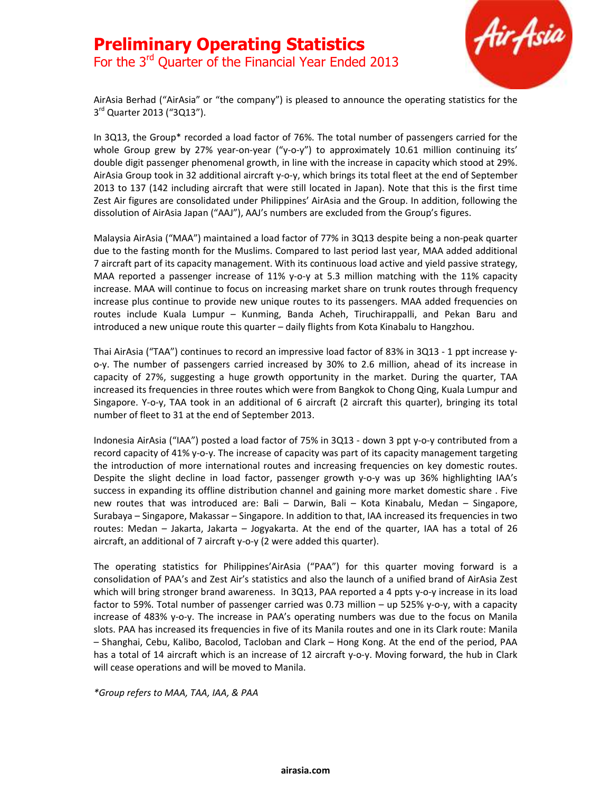## Preliminary Operating Statistics For the 3<sup>rd</sup> Quarter of the Financial Year Ended 2013



AirAsia Berhad ("AirAsia" or "the company") is pleased to announce the operating statistics for the 3<sup>rd</sup> Quarter 2013 ("3Q13").

In 3Q13, the Group\* recorded a load factor of 76%. The total number of passengers carried for the whole Group grew by 27% year-on-year ("y-o-y") to approximately 10.61 million continuing its' double digit passenger phenomenal growth, in line with the increase in capacity which stood at 29%. AirAsia Group took in 32 additional aircraft y-o-y, which brings its total fleet at the end of September 2013 to 137 (142 including aircraft that were still located in Japan). Note that this is the first time Zest Air figures are consolidated under Philippines' AirAsia and the Group. In addition, following the dissolution of AirAsia Japan ("AAJ"), AAJ's numbers are excluded from the Group's figures.

Malaysia AirAsia ("MAA") maintained a load factor of 77% in 3Q13 despite being a non-peak quarter due to the fasting month for the Muslims. Compared to last period last year, MAA added additional 7 aircraft part of its capacity management. With its continuous load active and yield passive strategy, MAA reported a passenger increase of 11% y-o-y at 5.3 million matching with the 11% capacity increase. MAA will continue to focus on increasing market share on trunk routes through frequency increase plus continue to provide new unique routes to its passengers. MAA added frequencies on routes include Kuala Lumpur – Kunming, Banda Acheh, Tiruchirappalli, and Pekan Baru and introduced a new unique route this quarter – daily flights from Kota Kinabalu to Hangzhou.

Thai AirAsia ("TAA") continues to record an impressive load factor of 83% in 3Q13 - 1 ppt increase yo-y. The number of passengers carried increased by 30% to 2.6 million, ahead of its increase in capacity of 27%, suggesting a huge growth opportunity in the market. During the quarter, TAA increased its frequencies in three routes which were from Bangkok to Chong Qing, Kuala Lumpur and Singapore. Y-o-y, TAA took in an additional of 6 aircraft (2 aircraft this quarter), bringing its total number of fleet to 31 at the end of September 2013.

Indonesia AirAsia ("IAA") posted a load factor of 75% in 3Q13 - down 3 ppt y-o-y contributed from a record capacity of 41% y-o-y. The increase of capacity was part of its capacity management targeting the introduction of more international routes and increasing frequencies on key domestic routes. Despite the slight decline in load factor, passenger growth y-o-y was up 36% highlighting IAA's success in expanding its offline distribution channel and gaining more market domestic share . Five new routes that was introduced are: Bali – Darwin, Bali – Kota Kinabalu, Medan – Singapore, Surabaya – Singapore, Makassar – Singapore. In addition to that, IAA increased its frequencies in two routes: Medan – Jakarta, Jakarta – Jogyakarta. At the end of the quarter, IAA has a total of 26 aircraft, an additional of 7 aircraft y-o-y (2 were added this quarter).

The operating statistics for Philippines'AirAsia ("PAA") for this quarter moving forward is a consolidation of PAA's and Zest Air's statistics and also the launch of a unified brand of AirAsia Zest which will bring stronger brand awareness. In 3Q13, PAA reported a 4 ppts y-o-y increase in its load factor to 59%. Total number of passenger carried was 0.73 million – up 525% y-o-y, with a capacity increase of 483% y-o-y. The increase in PAA's operating numbers was due to the focus on Manila slots. PAA has increased its frequencies in five of its Manila routes and one in its Clark route: Manila – Shanghai, Cebu, Kalibo, Bacolod, Tacloban and Clark – Hong Kong. At the end of the period, PAA has a total of 14 aircraft which is an increase of 12 aircraft y-o-y. Moving forward, the hub in Clark will cease operations and will be moved to Manila.

\*Group refers to MAA, TAA, IAA, & PAA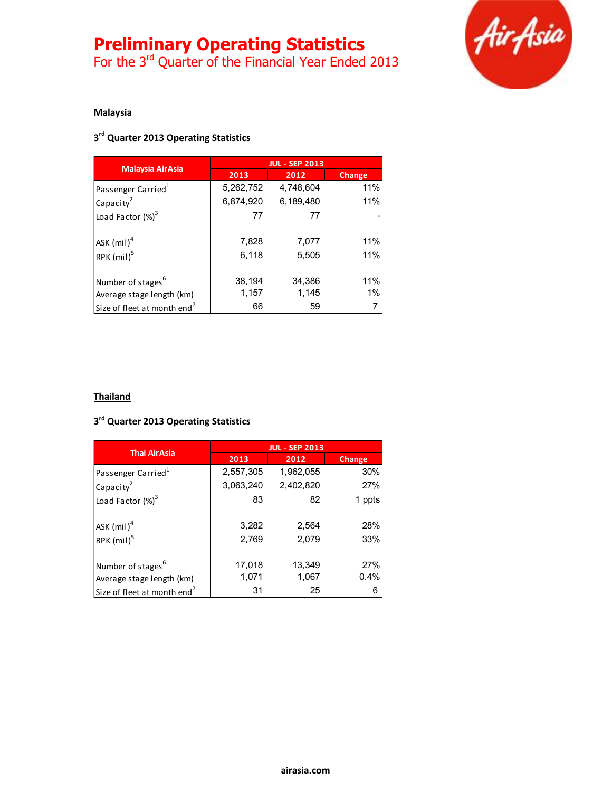# Preliminary Operating Statistics

For the 3<sup>rd</sup> Quarter of the Financial Year Ended 2013



### **Malaysia**

### 3<sup>rd</sup> Quarter 2013 Operating Statistics

| <b>Malaysia AirAsia</b>                 | <b>JUL - SEP 2013</b> |           |        |
|-----------------------------------------|-----------------------|-----------|--------|
|                                         | 2013                  | 2012      | Change |
| Passenger Carried <sup>1</sup>          | 5,262,752             | 4.748.604 | 11%    |
| Capacity <sup>2</sup>                   | 6,874,920             | 6,189,480 | 11%    |
| Load Factor $(\%)^3$                    | 77                    | 77        |        |
| ASK $(mil)^4$                           | 7,828                 | 7,077     | 11%    |
| RPK (mil) <sup>5</sup>                  | 6,118                 | 5,505     | 11%    |
| Number of stages <sup>6</sup>           | 38,194                | 34,386    | 11%    |
| Average stage length (km)               | 1,157                 | 1,145     | 1%     |
| Size of fleet at month end <sup>7</sup> | 66                    | 59        | 7      |

### **Thailand**

### 3<sup>rd</sup> Quarter 2013 Operating Statistics

| <b>Thai AirAsia</b>                     | <b>JUL - SEP 2013</b> |           |               |
|-----------------------------------------|-----------------------|-----------|---------------|
|                                         | 2013                  | 2012      | <b>Change</b> |
| Passenger Carried <sup>1</sup>          | 2,557,305             | 1,962,055 | 30%           |
| Capacity <sup>2</sup>                   | 3,063,240             | 2,402,820 | 27%           |
| Load Factor $(\%)^3$                    | 83                    | 82        | 1 ppts        |
| ASK $(mil)^4$                           | 3,282                 | 2,564     | 28%           |
| RPK $(mil)^5$                           | 2,769                 | 2,079     | 33%           |
| Number of stages <sup>6</sup>           | 17,018                | 13,349    | 27%           |
| Average stage length (km)               | 1,071                 | 1,067     | 0.4%          |
| Size of fleet at month end <sup>7</sup> | 31                    | 25        | 6             |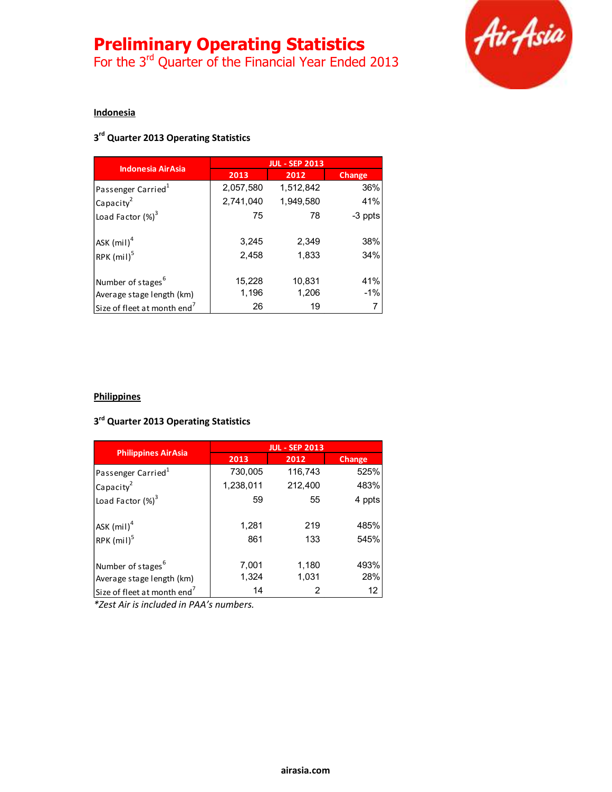# Preliminary Operating Statistics

For the 3<sup>rd</sup> Quarter of the Financial Year Ended 2013



#### **Indonesia**

### 3<sup>rd</sup> Quarter 2013 Operating Statistics

| <b>Indonesia AirAsia</b>                | <b>JUL - SEP 2013</b> |           |         |
|-----------------------------------------|-----------------------|-----------|---------|
|                                         | 2013                  | 2012      | Change  |
| Passenger Carried <sup>1</sup>          | 2,057,580             | 1,512,842 | 36%     |
| Capacity <sup>2</sup>                   | 2,741,040             | 1,949,580 | 41%     |
| Load Factor $(\%)^3$                    | 75                    | 78        | -3 ppts |
| ASK $(mil)^4$                           | 3,245                 | 2,349     | 38%     |
| RPK (mil) <sup>5</sup>                  | 2,458                 | 1,833     | 34%     |
| Number of stages <sup>6</sup>           | 15,228                | 10,831    | 41%     |
| Average stage length (km)               | 1,196                 | 1,206     | $-1\%$  |
| Size of fleet at month end <sup>7</sup> | 26                    | 19        |         |

### **Philippines**

### 3<sup>rd</sup> Quarter 2013 Operating Statistics

| <b>Philippines AirAsia</b>              | <b>JUL - SEP 2013</b> |         |        |
|-----------------------------------------|-----------------------|---------|--------|
|                                         | 2013                  | 2012    | Change |
| Passenger Carried <sup>1</sup>          | 730,005               | 116,743 | 525%   |
| Capacity <sup>2</sup>                   | 1,238,011             | 212,400 | 483%   |
| Load Factor $(\%)^3$                    | 59                    | 55      | 4 ppts |
|                                         |                       |         |        |
| ASK $(mil)^4$                           | 1,281                 | 219     | 485%   |
| RPK $(mil)^5$                           | 861                   | 133     | 545%   |
|                                         |                       |         |        |
| Number of stages <sup>6</sup>           | 7,001                 | 1,180   | 493%   |
| Average stage length (km)               | 1,324                 | 1,031   | 28%    |
| Size of fleet at month end <sup>7</sup> | 14                    |         | 12     |

\*Zest Air is included in PAA's numbers.